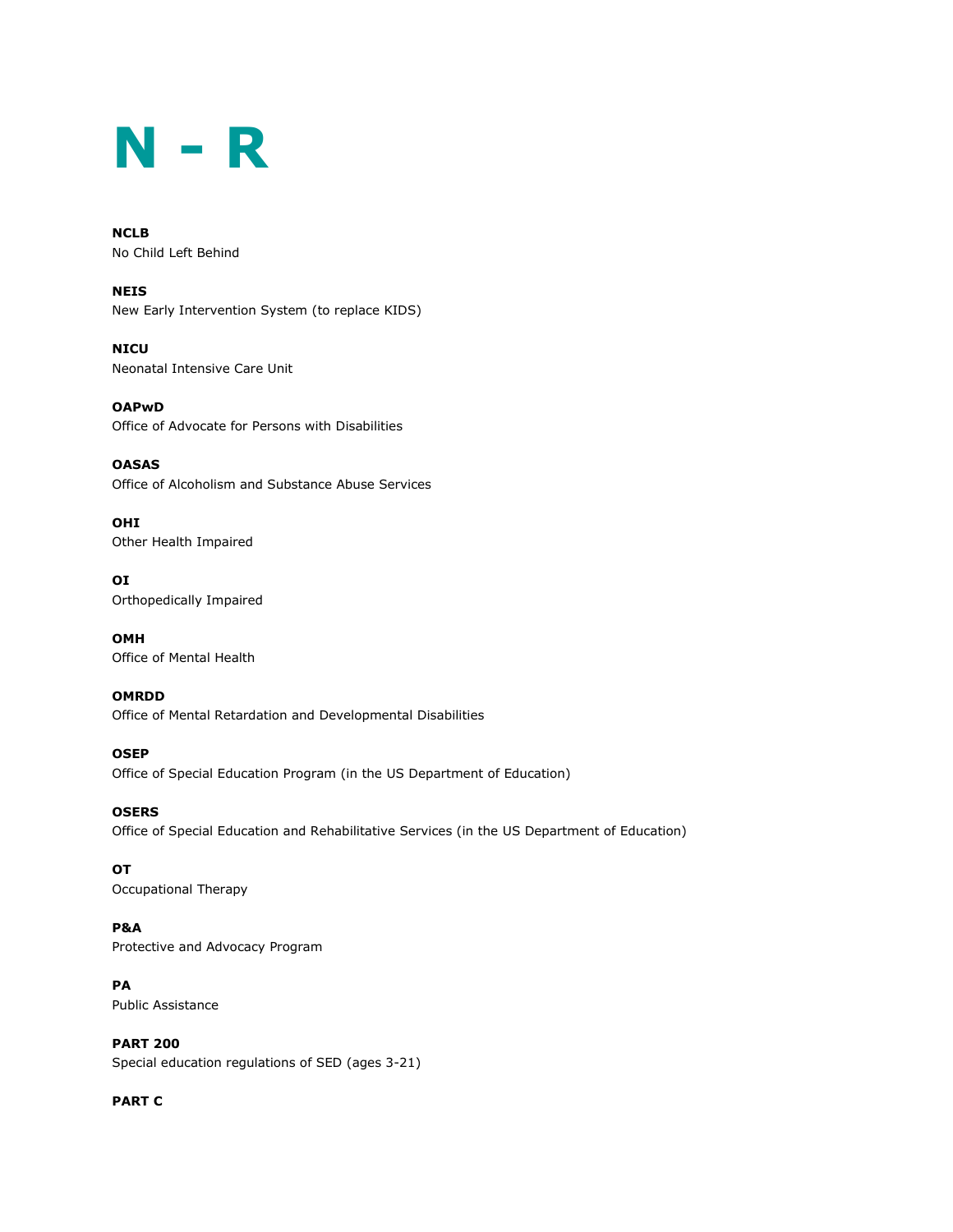# **N - R**

**NCLB** No Child Left Behind

**NEIS** New Early Intervention System (to replace KIDS)

**NICU** Neonatal Intensive Care Unit

**OAPwD** Office of Advocate for Persons with Disabilities

**OASAS** Office of Alcoholism and Substance Abuse Services

**OHI** Other Health Impaired

**OI** Orthopedically Impaired

**OMH** Office of Mental Health

**OMRDD** Office of Mental Retardation and Developmental Disabilities

**OSEP** Office of Special Education Program (in the US Department of Education)

**OSERS** Office of Special Education and Rehabilitative Services (in the US Department of Education)

**OT** Occupational Therapy

**P&A** Protective and Advocacy Program

**PA** Public Assistance

**PART 200** Special education regulations of SED (ages 3-21)

**PART C**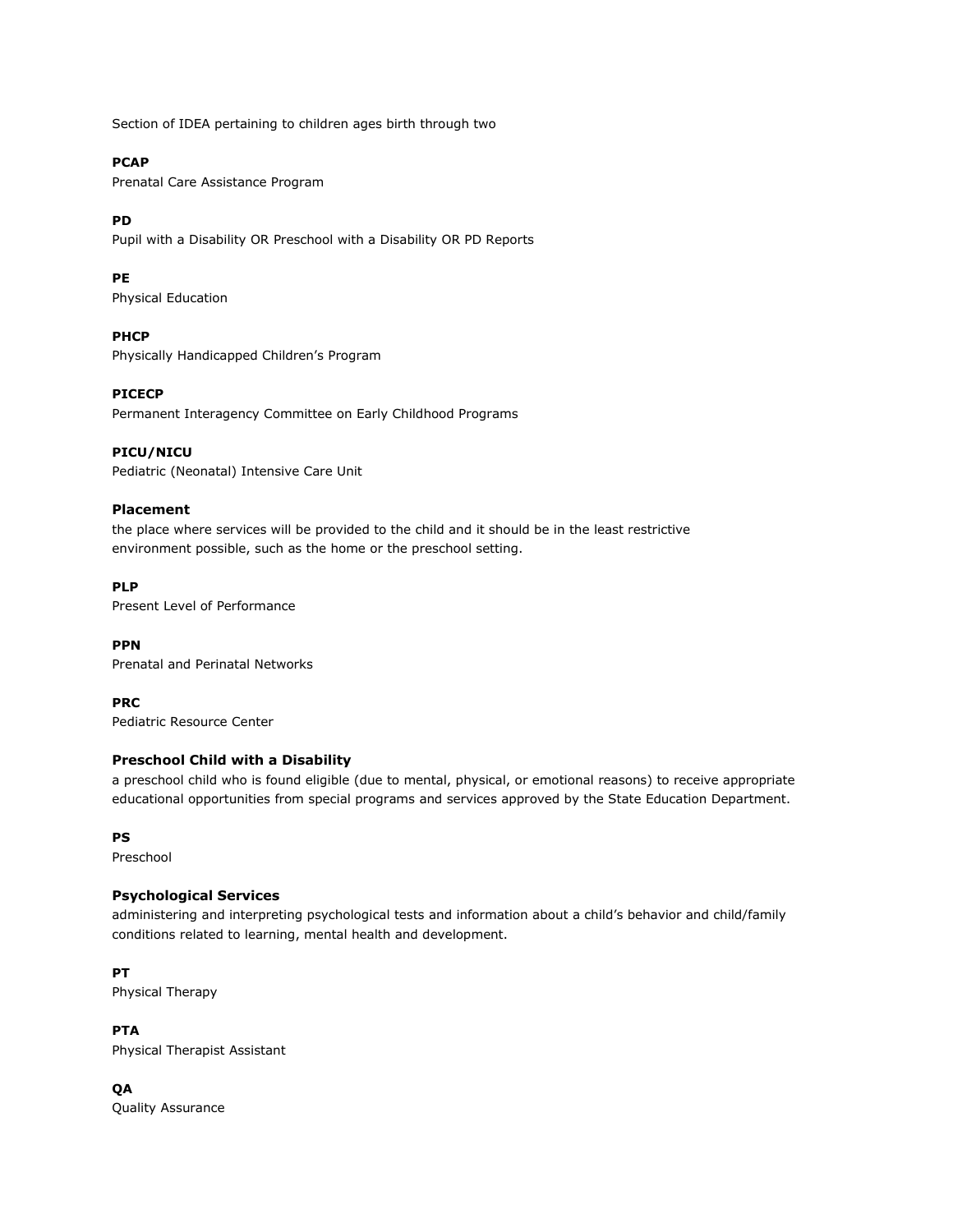Section of IDEA pertaining to children ages birth through two

## **PCAP**

Prenatal Care Assistance Program

#### **PD**

Pupil with a Disability OR Preschool with a Disability OR PD Reports

#### **PE**

Physical Education

#### **PHCP**

Physically Handicapped Children's Program

#### **PICECP**

Permanent Interagency Committee on Early Childhood Programs

#### **PICU/NICU**

Pediatric (Neonatal) Intensive Care Unit

#### **Placement**

the place where services will be provided to the child and it should be in the least restrictive environment possible, such as the home or the preschool setting.

#### **PLP**

Present Level of Performance

#### **PPN**

Prenatal and Perinatal Networks

#### **PRC**

Pediatric Resource Center

## **Preschool Child with a Disability**

a preschool child who is found eligible (due to mental, physical, or emotional reasons) to receive appropriate educational opportunities from special programs and services approved by the State Education Department.

#### **PS**

Preschool

#### **Psychological Services**

administering and interpreting psychological tests and information about a child's behavior and child/family conditions related to learning, mental health and development.

## **PT**

Physical Therapy

## **PTA**

Physical Therapist Assistant

## **QA**

Quality Assurance